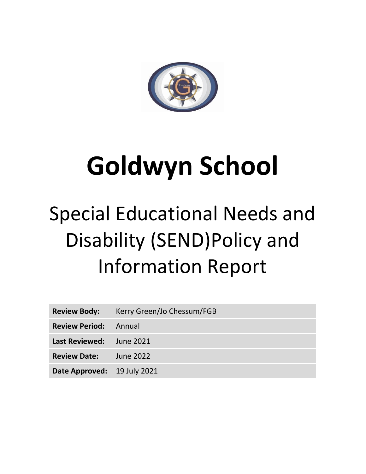

# **Goldwyn School**

# Special Educational Needs and Disability (SEND)Policy and Information Report

| <b>Review Body:</b>          | Kerry Green/Jo Chessum/FGB |
|------------------------------|----------------------------|
| <b>Review Period:</b> Annual |                            |
| Last Reviewed: June 2021     |                            |
| <b>Review Date:</b>          | June 2022                  |
| Date Approved: 19 July 2021  |                            |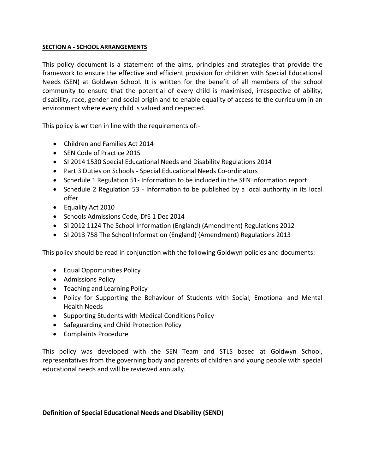#### **SECTION A - SCHOOL ARRANGEMENTS**

This policy document is a statement of the aims, principles and strategies that provide the framework to ensure the effective and efficient provision for children with Special Educational Needs (SEN) at Goldwyn School. It is written for the benefit of all members of the school community to ensure that the potential of every child is maximised, irrespective of ability, disability, race, gender and social origin and to enable equality of access to the curriculum in an environment where every child is valued and respected.

This policy is written in line with the requirements of:-

- Children and Families Act 2014
- SEN Code of Practice 2015
- SI 2014 1530 Special Educational Needs and Disability Regulations 2014
- Part 3 Duties on Schools Special Educational Needs Co-ordinators
- Schedule 1 Regulation 51- Information to be included in the SEN information report
- Schedule 2 Regulation 53 Information to be published by a local authority in its local offer
- Equality Act 2010
- Schools Admissions Code, DfE 1 Dec 2014
- SI 2012 1124 The School Information (England) (Amendment) Regulations 2012
- SI 2013 758 The School Information (England) (Amendment) Regulations 2013

This policy should be read in conjunction with the following Goldwyn policies and documents:

- Equal Opportunities Policy
- Admissions Policy
- Teaching and Learning Policy
- Policy for Supporting the Behaviour of Students with Social, Emotional and Mental Health Needs
- Supporting Students with Medical Conditions Policy
- Safeguarding and Child Protection Policy
- Complaints Procedure

This policy was developed with the SEN Team and STLS based at Goldwyn School, representatives from the governing body and parents of children and young people with special educational needs and will be reviewed annually.

#### **Definition of Special Educational Needs and Disability (SEND)**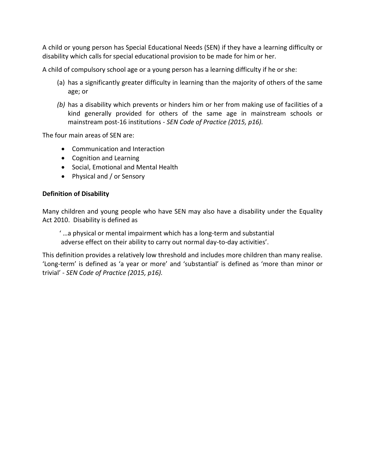A child or young person has Special Educational Needs (SEN) if they have a learning difficulty or disability which calls for special educational provision to be made for him or her.

A child of compulsory school age or a young person has a learning difficulty if he or she:

- (a) has a significantly greater difficulty in learning than the majority of others of the same age; or
- *(b)* has a disability which prevents or hinders him or her from making use of facilities of a kind generally provided for others of the same age in mainstream schools or mainstream post-16 institutions - *SEN Code of Practice (2015, p16).*

The four main areas of SEN are:

- Communication and Interaction
- Cognition and Learning
- Social, Emotional and Mental Health
- Physical and / or Sensory

#### **Definition of Disability**

Many children and young people who have SEN may also have a disability under the Equality Act 2010. Disability is defined as

' …a physical or mental impairment which has a long-term and substantial adverse effect on their ability to carry out normal day-to-day activities'.

This definition provides a relatively low threshold and includes more children than many realise. 'Long-term' is defined as 'a year or more' and 'substantial' is defined as 'more than minor or trivial' - *SEN Code of Practice (2015, p16).*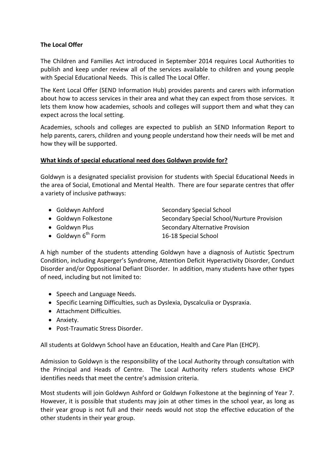#### **The Local Offer**

The Children and Families Act introduced in September 2014 requires Local Authorities to publish and keep under review all of the services available to children and young people with Special Educational Needs. This is called The Local Offer.

The Kent Local Offer (SEND Information Hub) provides parents and carers with information about how to access services in their area and what they can expect from those services. It lets them know how academies, schools and colleges will support them and what they can expect across the local setting.

Academies, schools and colleges are expected to publish an SEND Information Report to help parents, carers, children and young people understand how their needs will be met and how they will be supported.

#### **What kinds of special educational need does Goldwyn provide for?**

Goldwyn is a designated specialist provision for students with Special Educational Needs in the area of Social, Emotional and Mental Health. There are four separate centres that offer a variety of inclusive pathways:

• Goldwyn Ashford Secondary Special School

 $\bullet$  Goldwyn 6<sup>th</sup> Form

- 
- 

- Goldwyn Folkestone Secondary Special School/Nurture Provision • Goldwyn Plus **Secondary Alternative Provision** 16-18 Special School
- A high number of the students attending Goldwyn have a diagnosis of Autistic Spectrum Condition, including Asperger's Syndrome, Attention Deficit Hyperactivity Disorder, Conduct Disorder and/or Oppositional Defiant Disorder. In addition, many students have other types of need, including but not limited to:
	- Speech and Language Needs.
	- Specific Learning Difficulties, such as Dyslexia, Dyscalculia or Dyspraxia.
	- Attachment Difficulties.
	- Anxiety.
	- Post-Traumatic Stress Disorder.

All students at Goldwyn School have an Education, Health and Care Plan (EHCP).

Admission to Goldwyn is the responsibility of the Local Authority through consultation with the Principal and Heads of Centre. The Local Authority refers students whose EHCP identifies needs that meet the centre's admission criteria.

Most students will join Goldwyn Ashford or Goldwyn Folkestone at the beginning of Year 7. However, it is possible that students may join at other times in the school year, as long as their year group is not full and their needs would not stop the effective education of the other students in their year group.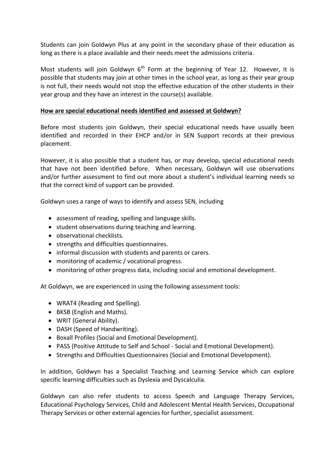Students can join Goldwyn Plus at any point in the secondary phase of their education as long as there is a place available and their needs meet the admissions criteria.

Most students will join Goldwyn  $6<sup>th</sup>$  Form at the beginning of Year 12. However, it is possible that students may join at other times in the school year, as long as their year group is not full, their needs would not stop the effective education of the other students in their year group and they have an interest in the course(s) available.

#### **How are special educational needs identified and assessed at Goldwyn?**

Before most students join Goldwyn, their special educational needs have usually been identified and recorded in their EHCP and/or in SEN Support records at their previous placement.

However, it is also possible that a student has, or may develop, special educational needs that have not been identified before. When necessary, Goldwyn will use observations and/or further assessment to find out more about a student's individual learning needs so that the correct kind of support can be provided.

Goldwyn uses a range of ways to identify and assess SEN, including

- assessment of reading, spelling and language skills.
- student observations during teaching and learning.
- observational checklists.
- strengths and difficulties questionnaires.
- informal discussion with students and parents or carers.
- monitoring of academic / vocational progress.
- monitoring of other progress data, including social and emotional development.

At Goldwyn, we are experienced in using the following assessment tools:

- WRAT4 (Reading and Spelling).
- BKSB (English and Maths).
- WRIT (General Ability).
- DASH (Speed of Handwriting).
- Boxall Profiles (Social and Emotional Development).
- PASS (Positive Attitude to Self and School Social and Emotional Development).
- Strengths and Difficulties Questionnaires (Social and Emotional Development).

In addition, Goldwyn has a Specialist Teaching and Learning Service which can explore specific learning difficulties such as Dyslexia and Dyscalculia.

Goldwyn can also refer students to access Speech and Language Therapy Services, Educational Psychology Services, Child and Adolescent Mental Health Services, Occupational Therapy Services or other external agencies for further, specialist assessment.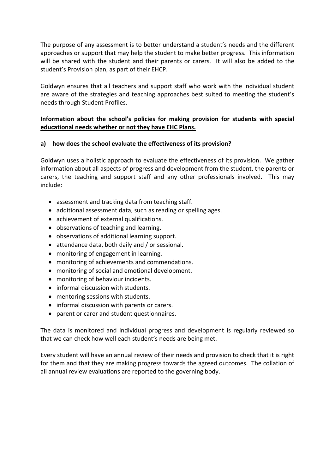The purpose of any assessment is to better understand a student's needs and the different approaches or support that may help the student to make better progress. This information will be shared with the student and their parents or carers. It will also be added to the student's Provision plan, as part of their EHCP.

Goldwyn ensures that all teachers and support staff who work with the individual student are aware of the strategies and teaching approaches best suited to meeting the student's needs through Student Profiles.

# **Information about the school's policies for making provision for students with special educational needs whether or not they have EHC Plans.**

#### **a) how does the school evaluate the effectiveness of its provision?**

Goldwyn uses a holistic approach to evaluate the effectiveness of its provision. We gather information about all aspects of progress and development from the student, the parents or carers, the teaching and support staff and any other professionals involved. This may include:

- assessment and tracking data from teaching staff.
- additional assessment data, such as reading or spelling ages.
- achievement of external qualifications.
- observations of teaching and learning.
- observations of additional learning support.
- attendance data, both daily and / or sessional.
- monitoring of engagement in learning.
- monitoring of achievements and commendations.
- monitoring of social and emotional development.
- monitoring of behaviour incidents.
- informal discussion with students.
- mentoring sessions with students.
- informal discussion with parents or carers.
- parent or carer and student questionnaires.

The data is monitored and individual progress and development is regularly reviewed so that we can check how well each student's needs are being met.

Every student will have an annual review of their needs and provision to check that it is right for them and that they are making progress towards the agreed outcomes. The collation of all annual review evaluations are reported to the governing body.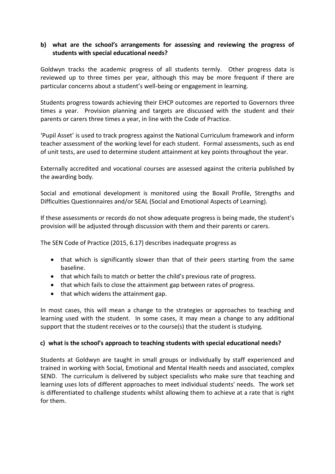# **b) what are the school's arrangements for assessing and reviewing the progress of students with special educational needs?**

Goldwyn tracks the academic progress of all students termly. Other progress data is reviewed up to three times per year, although this may be more frequent if there are particular concerns about a student's well-being or engagement in learning.

Students progress towards achieving their EHCP outcomes are reported to Governors three times a year. Provision planning and targets are discussed with the student and their parents or carers three times a year, in line with the Code of Practice.

'Pupil Asset' is used to track progress against the National Curriculum framework and inform teacher assessment of the working level for each student. Formal assessments, such as end of unit tests, are used to determine student attainment at key points throughout the year.

Externally accredited and vocational courses are assessed against the criteria published by the awarding body.

Social and emotional development is monitored using the Boxall Profile, Strengths and Difficulties Questionnaires and/or SEAL (Social and Emotional Aspects of Learning).

If these assessments or records do not show adequate progress is being made, the student's provision will be adjusted through discussion with them and their parents or carers.

The SEN Code of Practice (2015, 6.17) describes inadequate progress as

- that which is significantly slower than that of their peers starting from the same baseline.
- that which fails to match or better the child's previous rate of progress.
- that which fails to close the attainment gap between rates of progress.
- that which widens the attainment gap.

In most cases, this will mean a change to the strategies or approaches to teaching and learning used with the student. In some cases, it may mean a change to any additional support that the student receives or to the course(s) that the student is studying.

#### **c) what is the school's approach to teaching students with special educational needs?**

Students at Goldwyn are taught in small groups or individually by staff experienced and trained in working with Social, Emotional and Mental Health needs and associated, complex SEND. The curriculum is delivered by subject specialists who make sure that teaching and learning uses lots of different approaches to meet individual students' needs. The work set is differentiated to challenge students whilst allowing them to achieve at a rate that is right for them.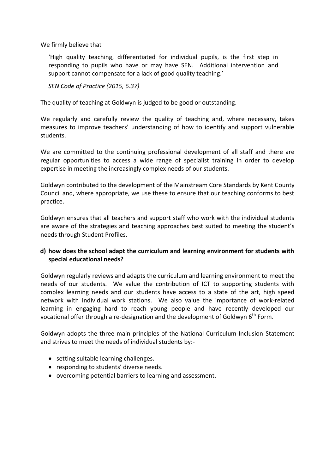We firmly believe that

'High quality teaching, differentiated for individual pupils, is the first step in responding to pupils who have or may have SEN. Additional intervention and support cannot compensate for a lack of good quality teaching.'

*SEN Code of Practice (2015, 6.37)*

The quality of teaching at Goldwyn is judged to be good or outstanding.

We regularly and carefully review the quality of teaching and, where necessary, takes measures to improve teachers' understanding of how to identify and support vulnerable students.

We are committed to the continuing professional development of all staff and there are regular opportunities to access a wide range of specialist training in order to develop expertise in meeting the increasingly complex needs of our students.

Goldwyn contributed to the development of the Mainstream Core Standards by Kent County Council and, where appropriate, we use these to ensure that our teaching conforms to best practice.

Goldwyn ensures that all teachers and support staff who work with the individual students are aware of the strategies and teaching approaches best suited to meeting the student's needs through Student Profiles.

#### **d) how does the school adapt the curriculum and learning environment for students with special educational needs?**

Goldwyn regularly reviews and adapts the curriculum and learning environment to meet the needs of our students. We value the contribution of ICT to supporting students with complex learning needs and our students have access to a state of the art, high speed network with individual work stations. We also value the importance of work-related learning in engaging hard to reach young people and have recently developed our vocational offer through a re-designation and the development of Goldwyn  $6<sup>th</sup>$  Form.

Goldwyn adopts the three main principles of the National Curriculum Inclusion Statement and strives to meet the needs of individual students by:-

- setting suitable learning challenges.
- responding to students' diverse needs.
- overcoming potential barriers to learning and assessment.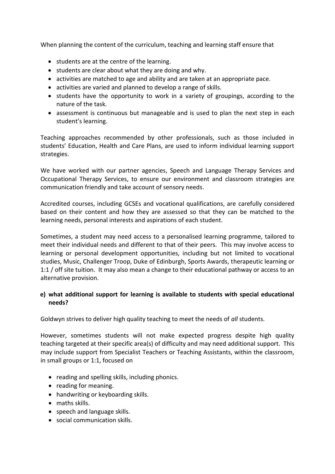When planning the content of the curriculum, teaching and learning staff ensure that

- students are at the centre of the learning.
- students are clear about what they are doing and why.
- activities are matched to age and ability and are taken at an appropriate pace.
- activities are varied and planned to develop a range of skills.
- students have the opportunity to work in a variety of groupings, according to the nature of the task.
- assessment is continuous but manageable and is used to plan the next step in each student's learning.

Teaching approaches recommended by other professionals, such as those included in students' Education, Health and Care Plans, are used to inform individual learning support strategies.

We have worked with our partner agencies, Speech and Language Therapy Services and Occupational Therapy Services, to ensure our environment and classroom strategies are communication friendly and take account of sensory needs.

Accredited courses, including GCSEs and vocational qualifications, are carefully considered based on their content and how they are assessed so that they can be matched to the learning needs, personal interests and aspirations of each student.

Sometimes, a student may need access to a personalised learning programme, tailored to meet their individual needs and different to that of their peers. This may involve access to learning or personal development opportunities, including but not limited to vocational studies, Music, Challenger Troop, Duke of Edinburgh, Sports Awards, therapeutic learning or 1:1 / off site tuition. It may also mean a change to their educational pathway or access to an alternative provision.

#### **e) what additional support for learning is available to students with special educational needs?**

Goldwyn strives to deliver high quality teaching to meet the needs of *all* students.

However, sometimes students will not make expected progress despite high quality teaching targeted at their specific area(s) of difficulty and may need additional support. This may include support from Specialist Teachers or Teaching Assistants, within the classroom, in small groups or 1:1, focused on

- reading and spelling skills, including phonics.
- reading for meaning.
- handwriting or keyboarding skills.
- maths skills.
- speech and language skills.
- social communication skills.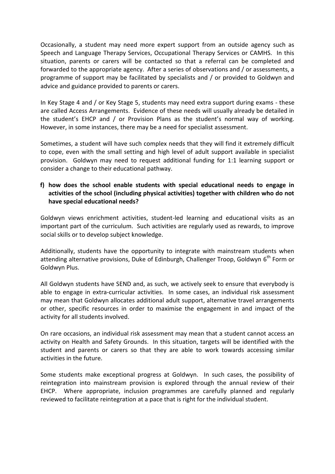Occasionally, a student may need more expert support from an outside agency such as Speech and Language Therapy Services, Occupational Therapy Services or CAMHS. In this situation, parents or carers will be contacted so that a referral can be completed and forwarded to the appropriate agency. After a series of observations and / or assessments, a programme of support may be facilitated by specialists and / or provided to Goldwyn and advice and guidance provided to parents or carers.

In Key Stage 4 and / or Key Stage 5, students may need extra support during exams - these are called Access Arrangements. Evidence of these needs will usually already be detailed in the student's EHCP and / or Provision Plans as the student's normal way of working. However, in some instances, there may be a need for specialist assessment.

Sometimes, a student will have such complex needs that they will find it extremely difficult to cope, even with the small setting and high level of adult support available in specialist provision. Goldwyn may need to request additional funding for 1:1 learning support or consider a change to their educational pathway.

#### **f) how does the school enable students with special educational needs to engage in activities of the school (including physical activities) together with children who do not have special educational needs?**

Goldwyn views enrichment activities, student-led learning and educational visits as an important part of the curriculum. Such activities are regularly used as rewards, to improve social skills or to develop subject knowledge.

Additionally, students have the opportunity to integrate with mainstream students when attending alternative provisions, Duke of Edinburgh, Challenger Troop, Goldwyn 6<sup>th</sup> Form or Goldwyn Plus.

All Goldwyn students have SEND and, as such, we actively seek to ensure that everybody is able to engage in extra-curricular activities. In some cases, an individual risk assessment may mean that Goldwyn allocates additional adult support, alternative travel arrangements or other, specific resources in order to maximise the engagement in and impact of the activity for all students involved.

On rare occasions, an individual risk assessment may mean that a student cannot access an activity on Health and Safety Grounds. In this situation, targets will be identified with the student and parents or carers so that they are able to work towards accessing similar activities in the future.

Some students make exceptional progress at Goldwyn. In such cases, the possibility of reintegration into mainstream provision is explored through the annual review of their EHCP. Where appropriate, inclusion programmes are carefully planned and regularly reviewed to facilitate reintegration at a pace that is right for the individual student.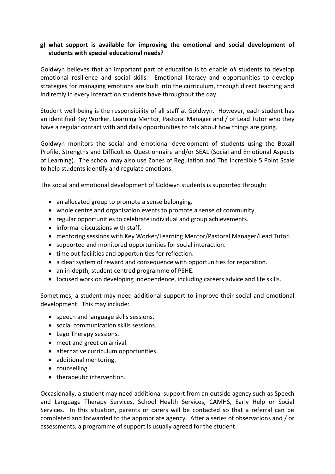# **g) what support is available for improving the emotional and social development of students with special educational needs?**

Goldwyn believes that an important part of education is to enable *all* students to develop emotional resilience and social skills. Emotional literacy and opportunities to develop strategies for managing emotions are built into the curriculum, through direct teaching and indirectly in every interaction students have throughout the day.

Student well-being is the responsibility of all staff at Goldwyn. However, each student has an identified Key Worker, Learning Mentor, Pastoral Manager and / or Lead Tutor who they have a regular contact with and daily opportunities to talk about how things are going.

Goldwyn monitors the social and emotional development of students using the Boxall Profile, Strengths and Difficulties Questionnaire and/or SEAL (Social and Emotional Aspects of Learning). The school may also use Zones of Regulation and The Incredible 5 Point Scale to help students identify and regulate emotions.

The social and emotional development of Goldwyn students is supported through:

- an allocated group to promote a sense belonging.
- whole centre and organisation events to promote a sense of community.
- regular opportunities to celebrate individual and group achievements.
- informal discussions with staff.
- mentoring sessions with Key Worker/Learning Mentor/Pastoral Manager/Lead Tutor.
- supported and monitored opportunities for social interaction.
- time out facilities and opportunities for reflection.
- a clear system of reward and consequence with opportunities for reparation.
- an in-depth, student centred programme of PSHE.
- focused work on developing independence, including careers advice and life skills.

Sometimes, a student may need additional support to improve their social and emotional development. This may include:

- speech and language skills sessions.
- social communication skills sessions.
- Lego Therapy sessions.
- meet and greet on arrival.
- alternative curriculum opportunities.
- additional mentoring.
- counselling.
- therapeutic intervention.

Occasionally, a student may need additional support from an outside agency such as Speech and Language Therapy Services, School Health Services, CAMHS, Early Help or Social Services. In this situation, parents or carers will be contacted so that a referral can be completed and forwarded to the appropriate agency. After a series of observations and / or assessments, a programme of support is usually agreed for the student.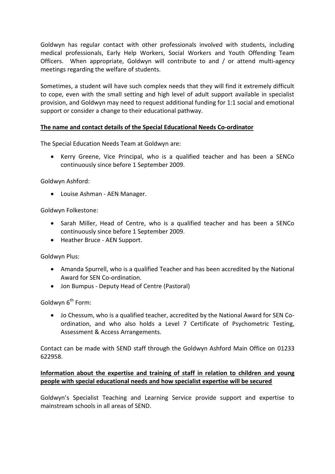Goldwyn has regular contact with other professionals involved with students, including medical professionals, Early Help Workers, Social Workers and Youth Offending Team Officers. When appropriate, Goldwyn will contribute to and / or attend multi-agency meetings regarding the welfare of students.

Sometimes, a student will have such complex needs that they will find it extremely difficult to cope, even with the small setting and high level of adult support available in specialist provision, and Goldwyn may need to request additional funding for 1:1 social and emotional support or consider a change to their educational pathway.

# **The name and contact details of the Special Educational Needs Co-ordinator**

The Special Education Needs Team at Goldwyn are:

 Kerry Greene, Vice Principal, who is a qualified teacher and has been a SENCo continuously since before 1 September 2009.

Goldwyn Ashford:

Louise Ashman - AEN Manager.

Goldwyn Folkestone:

- Sarah Miller, Head of Centre, who is a qualified teacher and has been a SENCo continuously since before 1 September 2009.
- Heather Bruce AEN Support.

Goldwyn Plus:

- Amanda Spurrell, who is a qualified Teacher and has been accredited by the National Award for SEN Co-ordination.
- Jon Bumpus Deputy Head of Centre (Pastoral)

Goldwyn  $6<sup>th</sup>$  Form:

 Jo Chessum, who is a qualified teacher, accredited by the National Award for SEN Coordination, and who also holds a Level 7 Certificate of Psychometric Testing, Assessment & Access Arrangements.

Contact can be made with SEND staff through the Goldwyn Ashford Main Office on 01233 622958.

#### **Information about the expertise and training of staff in relation to children and young people with special educational needs and how specialist expertise will be secured**

Goldwyn's Specialist Teaching and Learning Service provide support and expertise to mainstream schools in all areas of SEND.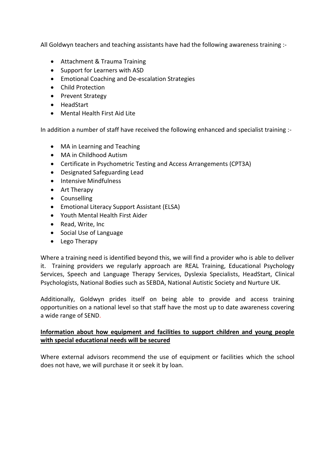All Goldwyn teachers and teaching assistants have had the following awareness training :-

- Attachment & Trauma Training
- Support for Learners with ASD
- Emotional Coaching and De-escalation Strategies
- Child Protection
- Prevent Strategy
- HeadStart
- Mental Health First Aid Lite

In addition a number of staff have received the following enhanced and specialist training :-

- MA in Learning and Teaching
- MA in Childhood Autism
- Certificate in Psychometric Testing and Access Arrangements (CPT3A)
- Designated Safeguarding Lead
- Intensive Mindfulness
- Art Therapy
- Counselling
- Emotional Literacy Support Assistant (ELSA)
- Youth Mental Health First Aider
- Read, Write, Inc.
- Social Use of Language
- Lego Therapy

Where a training need is identified beyond this, we will find a provider who is able to deliver it. Training providers we regularly approach are REAL Training, Educational Psychology Services, Speech and Language Therapy Services, Dyslexia Specialists, HeadStart, Clinical Psychologists, National Bodies such as SEBDA, National Autistic Society and Nurture UK.

Additionally, Goldwyn prides itself on being able to provide and access training opportunities on a national level so that staff have the most up to date awareness covering a wide range of SEND.

#### **Information about how equipment and facilities to support children and young people with special educational needs will be secured**

Where external advisors recommend the use of equipment or facilities which the school does not have, we will purchase it or seek it by loan.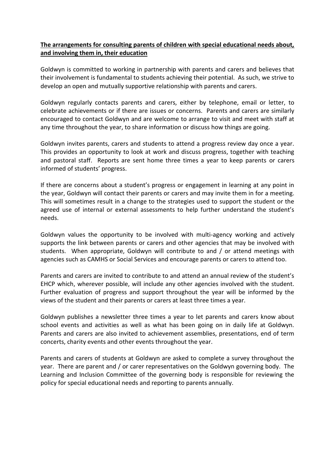# **The arrangements for consulting parents of children with special educational needs about, and involving them in, their education**

Goldwyn is committed to working in partnership with parents and carers and believes that their involvement is fundamental to students achieving their potential. As such, we strive to develop an open and mutually supportive relationship with parents and carers.

Goldwyn regularly contacts parents and carers, either by telephone, email or letter, to celebrate achievements or if there are issues or concerns. Parents and carers are similarly encouraged to contact Goldwyn and are welcome to arrange to visit and meet with staff at any time throughout the year, to share information or discuss how things are going.

Goldwyn invites parents, carers and students to attend a progress review day once a year. This provides an opportunity to look at work and discuss progress, together with teaching and pastoral staff. Reports are sent home three times a year to keep parents or carers informed of students' progress.

If there are concerns about a student's progress or engagement in learning at any point in the year, Goldwyn will contact their parents or carers and may invite them in for a meeting. This will sometimes result in a change to the strategies used to support the student or the agreed use of internal or external assessments to help further understand the student's needs.

Goldwyn values the opportunity to be involved with multi-agency working and actively supports the link between parents or carers and other agencies that may be involved with students. When appropriate, Goldwyn will contribute to and / or attend meetings with agencies such as CAMHS or Social Services and encourage parents or carers to attend too.

Parents and carers are invited to contribute to and attend an annual review of the student's EHCP which, wherever possible, will include any other agencies involved with the student. Further evaluation of progress and support throughout the year will be informed by the views of the student and their parents or carers at least three times a year.

Goldwyn publishes a newsletter three times a year to let parents and carers know about school events and activities as well as what has been going on in daily life at Goldwyn. Parents and carers are also invited to achievement assemblies, presentations, end of term concerts, charity events and other events throughout the year.

Parents and carers of students at Goldwyn are asked to complete a survey throughout the year. There are parent and / or carer representatives on the Goldwyn governing body. The Learning and Inclusion Committee of the governing body is responsible for reviewing the policy for special educational needs and reporting to parents annually.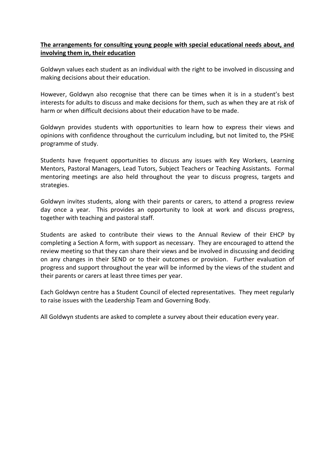# **The arrangements for consulting young people with special educational needs about, and involving them in, their education**

Goldwyn values each student as an individual with the right to be involved in discussing and making decisions about their education.

However, Goldwyn also recognise that there can be times when it is in a student's best interests for adults to discuss and make decisions for them, such as when they are at risk of harm or when difficult decisions about their education have to be made.

Goldwyn provides students with opportunities to learn how to express their views and opinions with confidence throughout the curriculum including, but not limited to, the PSHE programme of study.

Students have frequent opportunities to discuss any issues with Key Workers, Learning Mentors, Pastoral Managers, Lead Tutors, Subject Teachers or Teaching Assistants. Formal mentoring meetings are also held throughout the year to discuss progress, targets and strategies.

Goldwyn invites students, along with their parents or carers, to attend a progress review day once a year. This provides an opportunity to look at work and discuss progress, together with teaching and pastoral staff.

Students are asked to contribute their views to the Annual Review of their EHCP by completing a Section A form, with support as necessary. They are encouraged to attend the review meeting so that they can share their views and be involved in discussing and deciding on any changes in their SEND or to their outcomes or provision. Further evaluation of progress and support throughout the year will be informed by the views of the student and their parents or carers at least three times per year.

Each Goldwyn centre has a Student Council of elected representatives. They meet regularly to raise issues with the Leadership Team and Governing Body.

All Goldwyn students are asked to complete a survey about their education every year.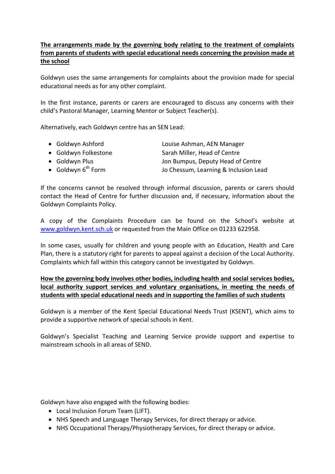# **The arrangements made by the governing body relating to the treatment of complaints from parents of students with special educational needs concerning the provision made at the school**

Goldwyn uses the same arrangements for complaints about the provision made for special educational needs as for any other complaint.

In the first instance, parents or carers are encouraged to discuss any concerns with their child's Pastoral Manager, Learning Mentor or Subject Teacher(s).

Alternatively, each Goldwyn centre has an SEN Lead:

- Goldwyn Ashford Louise Ashman, AEN Manager
- Goldwyn Folkestone Sarah Miller, Head of Centre
- 
- 

• Goldwyn Plus **Coldwyn Plus** Jon Bumpus, Deputy Head of Centre • Goldwyn 6<sup>th</sup> Form Jo Chessum, Learning & Inclusion Lead

If the concerns cannot be resolved through informal discussion, parents or carers should contact the Head of Centre for further discussion and, if necessary, information about the Goldwyn Complaints Policy.

A copy of the Complaints Procedure can be found on the School's website at [www.goldwyn.kent.sch.uk](http://www.goldwyn.kent.sch.uk/) or requested from the Main Office on 01233 622958.

In some cases, usually for children and young people with an Education, Health and Care Plan, there is a statutory right for parents to appeal against a decision of the Local Authority. Complaints which fall within this category cannot be investigated by Goldwyn.

**How the governing body involves other bodies, including health and social services bodies, local authority support services and voluntary organisations, in meeting the needs of students with special educational needs and in supporting the families of such students**

Goldwyn is a member of the Kent Special Educational Needs Trust (KSENT), which aims to provide a supportive network of special schools in Kent.

Goldwyn's Specialist Teaching and Learning Service provide support and expertise to mainstream schools in all areas of SEND.

Goldwyn have also engaged with the following bodies:

- Local Inclusion Forum Team (LIFT).
- NHS Speech and Language Therapy Services, for direct therapy or advice.
- NHS Occupational Therapy/Physiotherapy Services, for direct therapy or advice.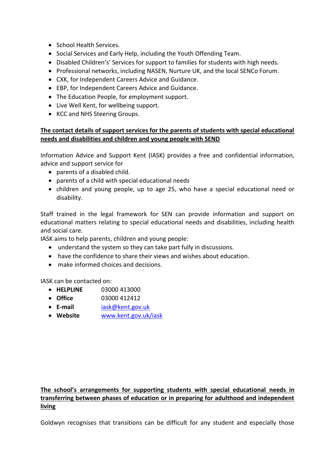- School Health Services.
- Social Services and Early Help, including the Youth Offending Team.
- Disabled Children's' Services for support to families for students with high needs.
- Professional networks, including NASEN, Nurture UK, and the local SENCo Forum.
- CXK, for Independent Careers Advice and Guidance.
- EBP, for Independent Careers Advice and Guidance.
- The Education People, for employment support.
- Live Well Kent, for wellbeing support.
- KCC and NHS Steering Groups.

#### **The contact details of support services for the parents of students with special educational needs and disabilities and children and young people with SEND**

Information Advice and Support Kent (IASK) provides a free and confidential information, advice and support service for

- parents of a disabled child.
- parents of a child with special educational needs
- children and young people, up to age 25, who have a special educational need or disability.

Staff trained in the legal framework for SEN can provide information and support on educational matters relating to special educational needs and disabilities, including health and social care.

IASK aims to help parents, children and young people:

- understand the system so they can take part fully in discussions.
- have the confidence to share their views and wishes about education.
- make informed choices and decisions.

IASK can be contacted on:

- **HELPLINE** 03000 413000
- **Office** 03000 412412
- **E-mail** [iask@kent.gov.uk](mailto:iask@kent.gov.uk)
- **Website** [www.kent.gov.uk/iask](http://www.kent.gov.uk/iask)

# **The school's arrangements for supporting students with special educational needs in transferring between phases of education or in preparing for adulthood and independent living**

Goldwyn recognises that transitions can be difficult for any student and especially those